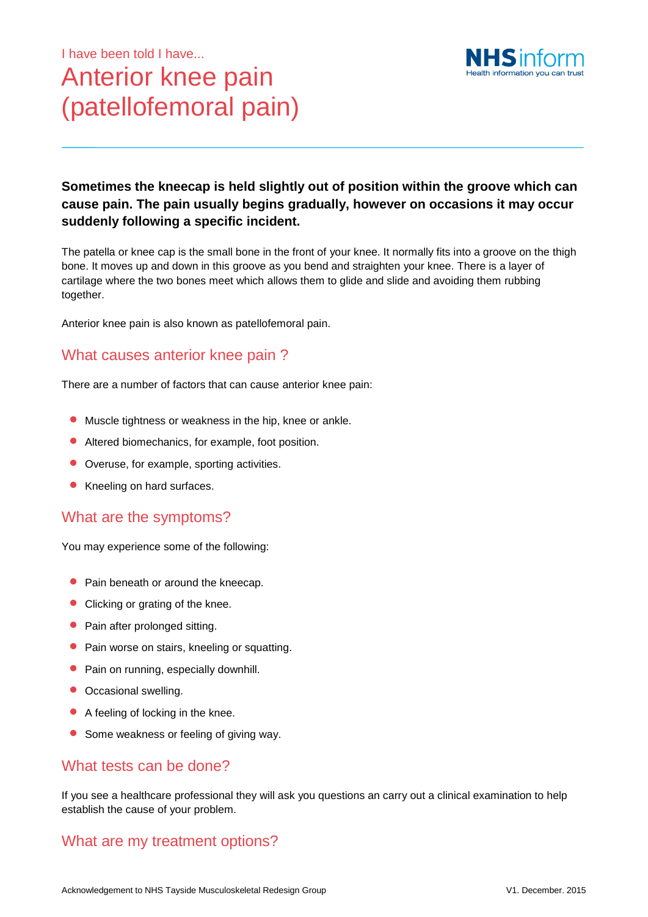# I have been told I have... Anterior knee pain (patellofemoral pain)



## **Sometimes the kneecap is held slightly out of position within the groove which can cause pain. The pain usually begins gradually, however on occasions it may occur suddenly following a specific incident.**

The patella or knee cap is the small bone in the front of your knee. It normally fits into a groove on the thigh bone. It moves up and down in this groove as you bend and straighten your knee. There is a layer of cartilage where the two bones meet which allows them to glide and slide and avoiding them rubbing together.

Anterior knee pain is also known as patellofemoral pain.

# What causes anterior knee pain ?

There are a number of factors that can cause anterior knee pain:

- **•** Muscle tightness or weakness in the hip, knee or ankle.
- Altered biomechanics, for example, foot position.
- Overuse, for example, sporting activities.
- **Kneeling on hard surfaces.**

#### What are the symptoms?

You may experience some of the following:

- Pain beneath or around the kneecap.
- Clicking or grating of the knee.
- Pain after prolonged sitting.
- Pain worse on stairs, kneeling or squatting.
- Pain on running, especially downhill.
- Occasional swelling.
- A feeling of locking in the knee.
- Some weakness or feeling of giving way.

#### What tests can be done?

If you see a healthcare professional they will ask you questions an carry out a clinical examination to help establish the cause of your problem.

## What are my treatment options?